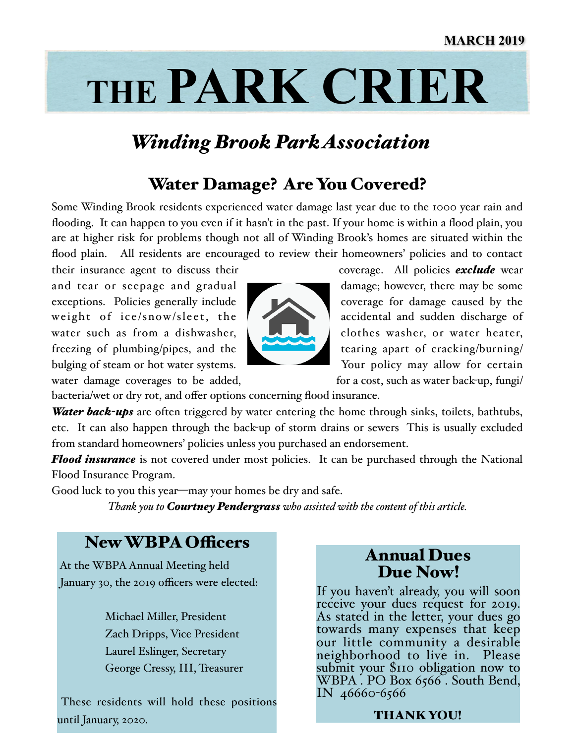# **THE PARK CRIER**

## *Winding Brook Park Association*

## Water Damage? Are You Covered?

Some Winding Brook residents experienced water damage last year due to the 1000 year rain and flooding. It can happen to you even if it hasn't in the past. If your home is within a flood plain, you are at higher risk for problems though not all of Winding Brook's homes are situated within the flood plain. All residents are encouraged to review their homeowners' policies and to contact

and tear or seepage and gradual damage; however, there may be some exceptions. Policies generally include coverage for damage caused by the weight of ice/snow/sleet, the accidental and sudden discharge of water such as from a dishwasher,  $\log$  clothes washer, or water heater, freezing of plumbing/pipes, and the tearing apart of cracking/burning/ bulging of steam or hot water systems. Your policy may allow for certain



their insurance agent to discuss their coverage. All policies *exclude* wear

water damage coverages to be added, for a cost, such as water back-up, fungil

bacteria/wet or dry rot, and offer options concerning flood insurance.

*Water back-ups* are often triggered by water entering the home through sinks, toilets, bathtubs, etc. It can also happen through the back-up of storm drains or sewers This is usually excluded from standard homeowners' policies unless you purchased an endorsement.

**Flood insurance** is not covered under most policies. It can be purchased through the National Flood Insurance Program.

Good luck to you this year—may your homes be dry and safe.

*Thank you to Courtney Pendergrass who assisted with the content of this article.*

## New WBPA Officers

 At the WBPA Annual Meeting held January 30, the 2019 officers were elected:

> Michael Miller, President Zach Dripps, Vice President Laurel Eslinger, Secretary George Cressy, III, Treasurer

 These residents will hold these positions until January, 2020.

## Annual Dues Due Now!

If you haven't already, you will soon receive your dues request for 2019. As stated in the letter, your dues go towards many expenses that keep our little community a desirable neighborhood to live in. Please submit your \$110 obligation now to WBPA . PO Box 6566. South Bend, IN 46660-6566

#### THANK YOU!